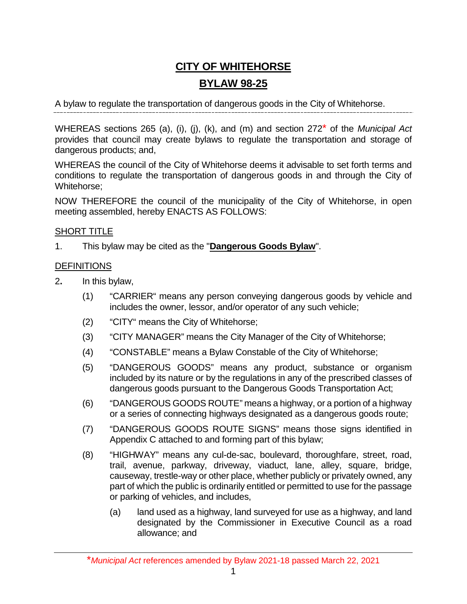## **CITY OF WHITEHORSE BYLAW 98-25**

A bylaw to regulate the transportation of dangerous goods in the City of Whitehorse.

WHEREAS sections 265 (a), (i), (j), (k), and (m) and section 272\* of the *Municipal Act* provides that council may create bylaws to regulate the transportation and storage of dangerous products; and,

WHEREAS the council of the City of Whitehorse deems it advisable to set forth terms and conditions to regulate the transportation of dangerous goods in and through the City of Whitehorse;

NOW THEREFORE the council of the municipality of the City of Whitehorse, in open meeting assembled, hereby ENACTS AS FOLLOWS:

#### SHORT TITLE

1. This bylaw may be cited as the "**Dangerous Goods Bylaw**".

#### **DEFINITIONS**

- 2**.** In this bylaw,
	- (1) "CARRIER" means any person conveying dangerous goods by vehicle and includes the owner, lessor, and/or operator of any such vehicle;
	- (2) "CITY" means the City of Whitehorse;
	- (3) "CITY MANAGER" means the City Manager of the City of Whitehorse;
	- (4) "CONSTABLE" means a Bylaw Constable of the City of Whitehorse;
	- (5) "DANGEROUS GOODS" means any product, substance or organism included by its nature or by the regulations in any of the prescribed classes of dangerous goods pursuant to the Dangerous Goods Transportation Act;
	- (6) "DANGEROUS GOODS ROUTE" means a highway, or a portion of a highway or a series of connecting highways designated as a dangerous goods route;
	- (7) "DANGEROUS GOODS ROUTE SIGNS" means those signs identified in Appendix C attached to and forming part of this bylaw;
	- (8) "HIGHWAY" means any cul-de-sac, boulevard, thoroughfare, street, road, trail, avenue, parkway, driveway, viaduct, lane, alley, square, bridge, causeway, trestle-way or other place, whether publicly or privately owned, any part of which the public is ordinarily entitled or permitted to use for the passage or parking of vehicles, and includes,
		- (a) land used as a highway, land surveyed for use as a highway, and land designated by the Commissioner in Executive Council as a road allowance; and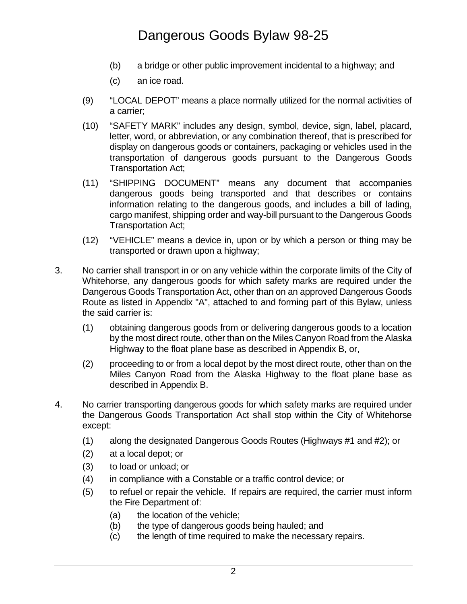- (b) a bridge or other public improvement incidental to a highway; and
- (c) an ice road.
- (9) "LOCAL DEPOT" means a place normally utilized for the normal activities of a carrier;
- (10) "SAFETY MARK" includes any design, symbol, device, sign, label, placard, letter, word, or abbreviation, or any combination thereof, that is prescribed for display on dangerous goods or containers, packaging or vehicles used in the transportation of dangerous goods pursuant to the Dangerous Goods Transportation Act;
- (11) "SHIPPING DOCUMENT" means any document that accompanies dangerous goods being transported and that describes or contains information relating to the dangerous goods, and includes a bill of lading, cargo manifest, shipping order and way-bill pursuant to the Dangerous Goods Transportation Act;
- (12) "VEHICLE" means a device in, upon or by which a person or thing may be transported or drawn upon a highway;
- 3. No carrier shall transport in or on any vehicle within the corporate limits of the City of Whitehorse, any dangerous goods for which safety marks are required under the Dangerous Goods Transportation Act, other than on an approved Dangerous Goods Route as listed in Appendix "A", attached to and forming part of this Bylaw, unless the said carrier is:
	- (1) obtaining dangerous goods from or delivering dangerous goods to a location by the most direct route, other than on the Miles Canyon Road from the Alaska Highway to the float plane base as described in Appendix B, or,
	- (2) proceeding to or from a local depot by the most direct route, other than on the Miles Canyon Road from the Alaska Highway to the float plane base as described in Appendix B.
- 4. No carrier transporting dangerous goods for which safety marks are required under the Dangerous Goods Transportation Act shall stop within the City of Whitehorse except:
	- (1) along the designated Dangerous Goods Routes (Highways #1 and #2); or
	- (2) at a local depot; or
	- (3) to load or unload; or
	- (4) in compliance with a Constable or a traffic control device; or
	- (5) to refuel or repair the vehicle. If repairs are required, the carrier must inform the Fire Department of:
		- (a) the location of the vehicle;
		- (b) the type of dangerous goods being hauled; and
		- (c) the length of time required to make the necessary repairs.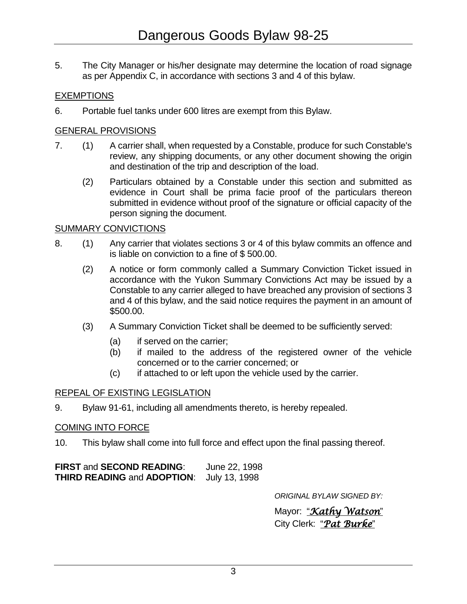5. The City Manager or his/her designate may determine the location of road signage as per Appendix C, in accordance with sections 3 and 4 of this bylaw.

### **EXEMPTIONS**

6. Portable fuel tanks under 600 litres are exempt from this Bylaw.

### GENERAL PROVISIONS

- 7. (1) A carrier shall, when requested by a Constable, produce for such Constable's review, any shipping documents, or any other document showing the origin and destination of the trip and description of the load.
	- (2) Particulars obtained by a Constable under this section and submitted as evidence in Court shall be prima facie proof of the particulars thereon submitted in evidence without proof of the signature or official capacity of the person signing the document.

#### SUMMARY CONVICTIONS

- 8. (1) Any carrier that violates sections 3 or 4 of this bylaw commits an offence and is liable on conviction to a fine of \$ 500.00.
	- (2) A notice or form commonly called a Summary Conviction Ticket issued in accordance with the Yukon Summary Convictions Act may be issued by a Constable to any carrier alleged to have breached any provision of sections 3 and 4 of this bylaw, and the said notice requires the payment in an amount of \$500.00.
	- (3) A Summary Conviction Ticket shall be deemed to be sufficiently served:
		- (a) if served on the carrier;
		- (b) if mailed to the address of the registered owner of the vehicle concerned or to the carrier concerned; or
		- (c) if attached to or left upon the vehicle used by the carrier.

#### REPEAL OF EXISTING LEGISLATION

9. Bylaw 91-61, including all amendments thereto, is hereby repealed.

### COMING INTO FORCE

10. This bylaw shall come into full force and effect upon the final passing thereof.

| <b>FIRST and SECOND READING:</b>   | June 22, 1998 |
|------------------------------------|---------------|
| <b>THIRD READING and ADOPTION:</b> | July 13, 1998 |

*ORIGINAL BYLAW SIGNED BY:*

Mayor: "*Kathy Watson*" City Clerk: "*Pat Burke*"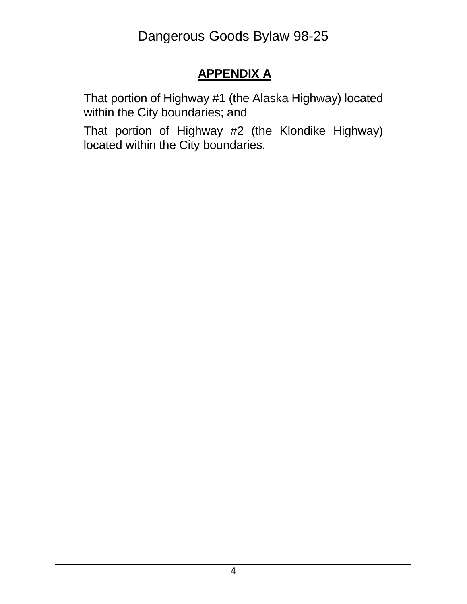# **APPENDIX A**

That portion of Highway #1 (the Alaska Highway) located within the City boundaries; and

That portion of Highway #2 (the Klondike Highway) located within the City boundaries.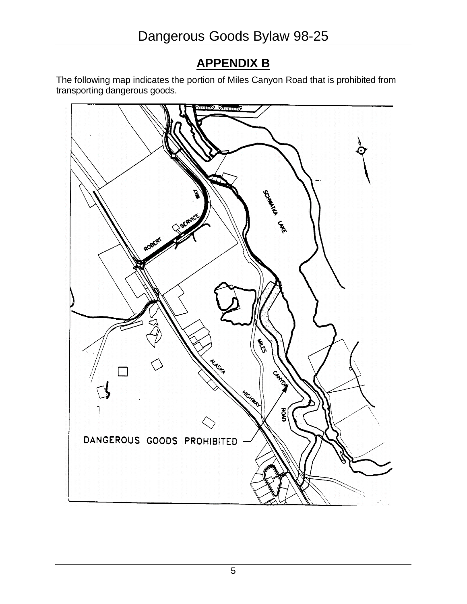## **APPENDIX B**

The following map indicates the portion of Miles Canyon Road that is prohibited from transporting dangerous goods.